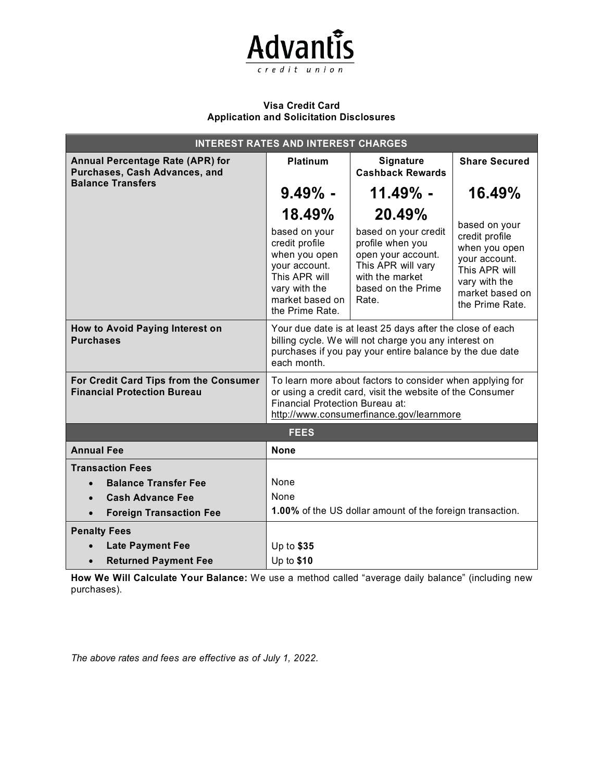

# **Visa Credit Card Application and Solicitation Disclosures**

| <b>INTEREST RATES AND INTEREST CHARGES</b>                                                           |                                                                                                                                                                                                              |                                                                                                                                        |                                                                                                                                           |
|------------------------------------------------------------------------------------------------------|--------------------------------------------------------------------------------------------------------------------------------------------------------------------------------------------------------------|----------------------------------------------------------------------------------------------------------------------------------------|-------------------------------------------------------------------------------------------------------------------------------------------|
| <b>Annual Percentage Rate (APR) for</b><br>Purchases, Cash Advances, and<br><b>Balance Transfers</b> | <b>Platinum</b>                                                                                                                                                                                              | Signature<br><b>Cashback Rewards</b>                                                                                                   | <b>Share Secured</b>                                                                                                                      |
|                                                                                                      | $9.49\%$ -                                                                                                                                                                                                   | $11.49\%$ -                                                                                                                            | 16.49%                                                                                                                                    |
|                                                                                                      | 18.49%                                                                                                                                                                                                       | 20.49%                                                                                                                                 |                                                                                                                                           |
|                                                                                                      | based on your<br>credit profile<br>when you open<br>your account.<br>This APR will<br>vary with the<br>market based on<br>the Prime Rate.                                                                    | based on your credit<br>profile when you<br>open your account.<br>This APR will vary<br>with the market<br>based on the Prime<br>Rate. | based on your<br>credit profile<br>when you open<br>your account.<br>This APR will<br>vary with the<br>market based on<br>the Prime Rate. |
| How to Avoid Paying Interest on<br><b>Purchases</b>                                                  | Your due date is at least 25 days after the close of each<br>billing cycle. We will not charge you any interest on<br>purchases if you pay your entire balance by the due date<br>each month.                |                                                                                                                                        |                                                                                                                                           |
| For Credit Card Tips from the Consumer<br><b>Financial Protection Bureau</b>                         | To learn more about factors to consider when applying for<br>or using a credit card, visit the website of the Consumer<br><b>Financial Protection Bureau at:</b><br>http://www.consumerfinance.gov/learnmore |                                                                                                                                        |                                                                                                                                           |
| <b>FEES</b>                                                                                          |                                                                                                                                                                                                              |                                                                                                                                        |                                                                                                                                           |
| <b>Annual Fee</b>                                                                                    | <b>None</b>                                                                                                                                                                                                  |                                                                                                                                        |                                                                                                                                           |
| <b>Transaction Fees</b>                                                                              |                                                                                                                                                                                                              |                                                                                                                                        |                                                                                                                                           |
| <b>Balance Transfer Fee</b><br>$\bullet$                                                             | None                                                                                                                                                                                                         |                                                                                                                                        |                                                                                                                                           |
| <b>Cash Advance Fee</b>                                                                              | None                                                                                                                                                                                                         |                                                                                                                                        |                                                                                                                                           |
| <b>Foreign Transaction Fee</b><br>$\bullet$                                                          | 1.00% of the US dollar amount of the foreign transaction.                                                                                                                                                    |                                                                                                                                        |                                                                                                                                           |
| <b>Penalty Fees</b>                                                                                  |                                                                                                                                                                                                              |                                                                                                                                        |                                                                                                                                           |
| <b>Late Payment Fee</b>                                                                              | Up to \$35                                                                                                                                                                                                   |                                                                                                                                        |                                                                                                                                           |
| <b>Returned Payment Fee</b>                                                                          | Up to $$10$                                                                                                                                                                                                  |                                                                                                                                        |                                                                                                                                           |

**How We Will Calculate Your Balance:** We use a method called "average daily balance" (including new purchases).

*The above rates and fees are effective as of July 1, 2022.*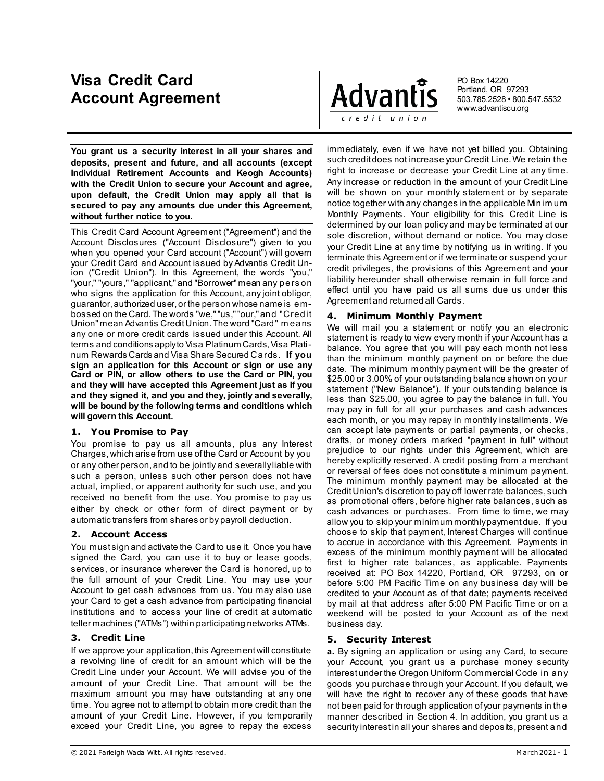# **Visa Credit Card Account Agreement**

**You grant us a security interest in all your shares and deposits, present and future, and all accounts (except Individual Retirement Accounts and Keogh Accounts) with the Credit Union to secure your Account and agree, upon default, the Credit Union may apply all that is secured to pay any amounts due under this Agreement, without further notice to you.** 

This Credit Card Account Agreement ("Agreement") and the Account Disclosures ("Account Disclosure") given to you when you opened your Card account ("Account") will govern your Credit Card and Account issued by Advantis Credit Union ("Credit Union"). In this Agreement, the words "you," "your," "yours," "applicant," and "Borrower" mean any pers on who signs the application for this Account, any joint obligor, guarantor, authorized user, or the person whose name is embossed on the Card. The words "we," "us," "our," and "Credit Union" mean Advantis Credit Union. The word "Card" m eans any one or more credit cards issued under this Account. All terms and conditions apply to Visa Platinum Cards, Visa Platinum Rewards Cards and Visa Share Secured Cards. **If you sign an application for this Account or sign or use any Card or PIN, or allow others to use the Card or PIN, you and they will have accepted this Agreement just as if you and they signed it, and you and they, jointly and severally, will be bound by the following terms and conditions which will govern this Account.**

# **1. You Promise to Pay**

You promise to pay us all amounts, plus any Interest Charges, which arise from use of the Card or Account by you or any other person, and to be jointly and severally liable with such a person, unless such other person does not have actual, implied, or apparent authority for such use, and you received no benefit from the use. You promise to pay us either by check or other form of direct payment or by automatic transfers from shares or by payroll deduction.

# **2. Account Access**

You must sign and activate the Card to use it. Once you have signed the Card, you can use it to buy or lease goods, services, or insurance wherever the Card is honored, up to the full amount of your Credit Line. You may use your Account to get cash advances from us. You may also use your Card to get a cash advance from participating financial institutions and to access your line of credit at automatic teller machines ("ATMs") within participating networks ATMs.

# **3. Credit Line**

If we approve your application, this Agreement will constitute a revolving line of credit for an amount which will be the Credit Line under your Account. We will advise you of the amount of your Credit Line. That amount will be the maximum amount you may have outstanding at any one time. You agree not to attempt to obtain more credit than the amount of your Credit Line. However, if you temporarily exceed your Credit Line, you agree to repay the excess



PO Box 14220 Portland, OR 97293 503.785.2528 800.547.5532 www.advantiscu.org

immediately, even if we have not yet billed you. Obtaining such credit does not increase your Credit Line. We retain the right to increase or decrease your Credit Line at any time. Any increase or reduction in the amount of your Credit Line will be shown on your monthly statement or by separate notice together with any changes in the applicable Minim um Monthly Payments. Your eligibility for this Credit Line is determined by our loan policy and may be terminated at our sole discretion, without demand or notice. You may close your Credit Line at any time by notifying us in writing. If you terminate this Agreement or if we terminate or suspend your credit privileges, the provisions of this Agreement and your liability hereunder shall otherwise remain in full force and effect until you have paid us all sums due us under this Agreement and returned all Cards.

## **4. Minimum Monthly Payment**

We will mail you a statement or notify you an electronic statement is ready to view every month if your Account has a balance. You agree that you will pay each month not less than the minimum monthly payment on or before the due date. The minimum monthly payment will be the greater of \$25.00 or 3.00% of your outstanding balance shown on your statement ("New Balance"). If your outstanding balance is less than \$25.00, you agree to pay the balance in full. You may pay in full for all your purchases and cash advances each month, or you may repay in monthly installments. We can accept late payments or partial payments, or checks, drafts, or money orders marked "payment in full" without prejudice to our rights under this Agreement, which are hereby explicitly reserved. A credit posting from a merchant or reversal of fees does not constitute a minimum payment. The minimum monthly payment may be allocated at the Credit Union's discretion to pay off lower rate balances, such as promotional offers, before higher rate balances, such as cash advances or purchases. From time to time, we may allow you to skip your minimum monthly payment due. If you choose to skip that payment, Interest Charges will continue to accrue in accordance with this Agreement. Payments in excess of the minimum monthly payment will be allocated first to higher rate balances, as applicable. Payments received at: PO Box 14220, Portland, OR 97293, on or before 5:00 PM Pacific Time on any business day will be credited to your Account as of that date; payments received by mail at that address after 5:00 PM Pacific Time or on a weekend will be posted to your Account as of the next business day.

# **5. Security Interest**

**a.** By signing an application or using any Card, to secure your Account, you grant us a purchase money security interest under the Oregon Uniform Commercial Code in any goods you purchase through your Account. If you default, we will have the right to recover any of these goods that have not been paid for through application of your payments in the manner described in Section 4. In addition, you grant us a security interest in all your shares and deposits, present and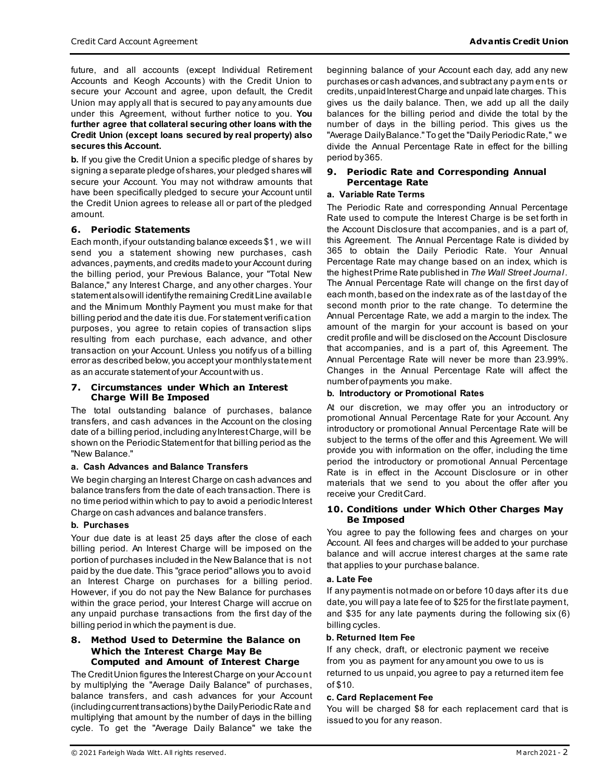future, and all accounts (except Individual Retirement Accounts and Keogh Accounts) with the Credit Union to secure your Account and agree, upon default, the Credit Union may apply all that is secured to pay any amounts due under this Agreement, without further notice to you. **You further agree that collateral securing other loans with the Credit Union (except loans secured by real property) also secures this Account.**

**b.** If you give the Credit Union a specific pledge of shares by signing a separate pledge of shares, your pledged shares will secure your Account. You may not withdraw amounts that have been specifically pledged to secure your Account until the Credit Union agrees to release all or part of the pledged amount.

## **6. Periodic Statements**

Each month, if your outstanding balance exceeds \$1, we will send you a statement showing new purchases, cash advances, payments, and credits made to your Account during the billing period, your Previous Balance, your "Total New Balance," any Interest Charge, and any other charges. Your statement also will identify the remaining Credit Line available and the Minimum Monthly Payment you must make for that billing period and the date it is due. For statement verification purposes, you agree to retain copies of transaction slips resulting from each purchase, each advance, and other transaction on your Account. Unless you notify us of a billing error as described below, you accept your monthly statement as an accurate statement of your Account with us.

#### **7. Circumstances under Which an Interest Charge Will Be Imposed**

The total outstanding balance of purchases, balance transfers, and cash advances in the Account on the closing date of a billing period, including any Interest Charge, will be shown on the Periodic Statement for that billing period as the "New Balance."

#### **a. Cash Advances and Balance Transfers**

We begin charging an Interest Charge on cash advances and balance transfers from the date of each transaction. There is no time period within which to pay to avoid a periodic Interest Charge on cash advances and balance transfers.

## **b. Purchases**

Your due date is at least 25 days after the close of each billing period. An Interest Charge will be imposed on the portion of purchases included in the New Balance that is not paid by the due date. This "grace period" allows you to avoid an Interest Charge on purchases for a billing period. However, if you do not pay the New Balance for purchases within the grace period, your Interest Charge will accrue on any unpaid purchase transactions from the first day of the billing period in which the payment is due.

#### **8. Method Used to Determine the Balance on Which the Interest Charge May Be Computed and Amount of Interest Charge**

The Credit Union figures the Interest Charge on your Account by multiplying the "Average Daily Balance" of purchases, balance transfers, and cash advances for your Account (including current transactions) by the Daily Periodic Rate and multiplying that amount by the number of days in the billing cycle. To get the "Average Daily Balance" we take the

beginning balance of your Account each day, add any new purchases or cash advances, and subtract any paym ents or credits, unpaid Interest Charge and unpaid late charges. This gives us the daily balance. Then, we add up all the daily balances for the billing period and divide the total by the number of days in the billing period. This gives us the "Average Daily Balance." To get the "Daily Periodic Rate," we divide the Annual Percentage Rate in effect for the billing period by 365.

# **9. Periodic Rate and Corresponding Annual Percentage Rate**

## **a. Variable Rate Terms**

The Periodic Rate and corresponding Annual Percentage Rate used to compute the Interest Charge is be set forth in the Account Disclosure that accompanies, and is a part of, this Agreement. The Annual Percentage Rate is divided by 365 to obtain the Daily Periodic Rate. Your Annual Percentage Rate may change based on an index, which is the highest Prime Rate published in *The Wall Street Journal*. The Annual Percentage Rate will change on the first day of each month, based on the index rate as of the last day of the second month prior to the rate change. To determine the Annual Percentage Rate, we add a margin to the index. The amount of the margin for your account is based on your credit profile and will be disclosed on the Account Disclosure that accompanies, and is a part of, this Agreement. The Annual Percentage Rate will never be more than 23.99%. Changes in the Annual Percentage Rate will affect the number of payments you make.

#### **b. Introductory or Promotional Rates**

At our discretion, we may offer you an introductory or promotional Annual Percentage Rate for your Account. Any introductory or promotional Annual Percentage Rate will be subject to the terms of the offer and this Agreement. We will provide you with information on the offer, including the time period the introductory or promotional Annual Percentage Rate is in effect in the Account Disclosure or in other materials that we send to you about the offer after you receive your Credit Card.

#### **10. Conditions under Which Other Charges May Be Imposed**

You agree to pay the following fees and charges on your Account. All fees and charges will be added to your purchase balance and will accrue interest charges at the same rate that applies to your purchase balance.

#### **a. Late Fee**

If any payment is not made on or before 10 days after its due date, you will pay a late fee of to \$25 for the first late payment, and \$35 for any late payments during the following six (6) billing cycles.

#### **b. Returned Item Fee**

If any check, draft, or electronic payment we receive from you as payment for any amount you owe to us is returned to us unpaid, you agree to pay a returned item fee of \$10.

#### **c. Card Replacement Fee**

You will be charged \$8 for each replacement card that is issued to you for any reason.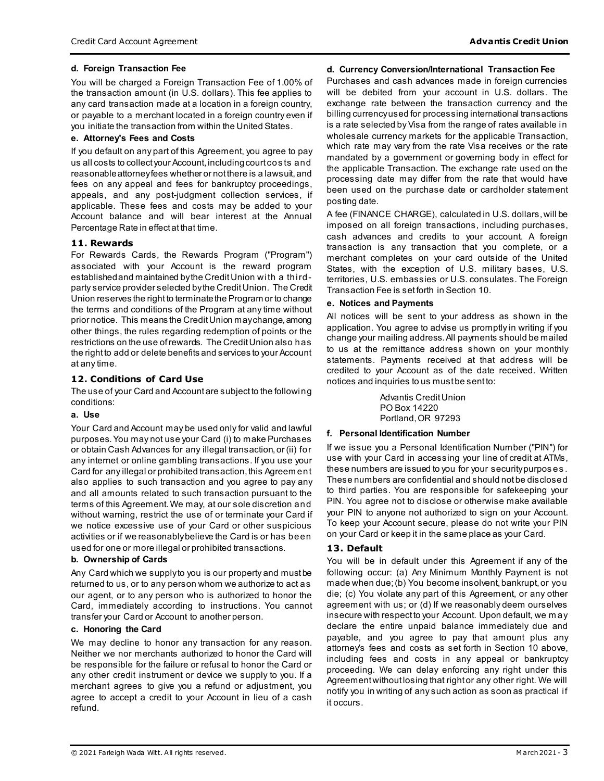## **d. Foreign Transaction Fee**

You will be charged a Foreign Transaction Fee of 1.00% of the transaction amount (in U.S. dollars). This fee applies to any card transaction made at a location in a foreign country, or payable to a merchant located in a foreign country even if you initiate the transaction from within the United States.

#### **e. Attorney's Fees and Costs**

If you default on any part of this Agreement, you agree to pay us all costs to collect your Account, including court cos ts and reasonable attorney fees whether or not there is a lawsuit, and fees on any appeal and fees for bankruptcy proceedings, appeals, and any post-judgment collection services, if applicable. These fees and costs may be added to your Account balance and will bear interest at the Annual Percentage Rate in effect at that time.

## **11. Rewards**

For Rewards Cards, the Rewards Program ("Program") associated with your Account is the reward program established and maintained by the Credit Union with a thirdparty service provider selected by the Credit Union. The Credit Union reserves the right to terminate the Program or to change the terms and conditions of the Program at any time without prior notice. This means the Credit Union may change, among other things, the rules regarding redemption of points or the restrictions on the use of rewards. The Credit Union also has the right to add or delete benefits and services to your Account at any time.

# **12. Conditions of Card Use**

The use of your Card and Account are subject to the following conditions:

#### **a. Use**

Your Card and Account may be used only for valid and lawful purposes. You may not use your Card (i) to make Purchases or obtain Cash Advances for any illegal transaction, or (ii) for any internet or online gambling transactions. If you use your Card for any illegal or prohibited transaction, this Agreem ent also applies to such transaction and you agree to pay any and all amounts related to such transaction pursuant to the terms of this Agreement. We may, at our sole discretion and without warning, restrict the use of or terminate your Card if we notice excessive use of your Card or other suspicious activities or if we reasonably believe the Card is or has been used for one or more illegal or prohibited transactions.

## **b. Ownership of Cards**

Any Card which we supply to you is our property and must be returned to us, or to any person whom we authorize to act as our agent, or to any person who is authorized to honor the Card, immediately according to instructions. You cannot transfer your Card or Account to another person.

## **c. Honoring the Card**

We may decline to honor any transaction for any reason. Neither we nor merchants authorized to honor the Card will be responsible for the failure or refusal to honor the Card or any other credit instrument or device we supply to you. If a merchant agrees to give you a refund or adjustment, you agree to accept a credit to your Account in lieu of a cash refund.

## **d. Currency Conversion/International Transaction Fee**

Purchases and cash advances made in foreign currencies will be debited from your account in U.S. dollars. The exchange rate between the transaction currency and the billing currency used for processing international transactions is a rate selected by Visa from the range of rates available in wholesale currency markets for the applicable Transaction, which rate may vary from the rate Visa receives or the rate mandated by a government or governing body in effect for the applicable Transaction. The exchange rate used on the processing date may differ from the rate that would have been used on the purchase date or cardholder statement posting date.

A fee (FINANCE CHARGE), calculated in U.S. dollars, will be imposed on all foreign transactions, including purchases, cash advances and credits to your account. A foreign transaction is any transaction that you complete, or a merchant completes on your card outside of the United States, with the exception of U.S. military bases, U.S. territories, U.S. embassies or U.S. consulates. The Foreign Transaction Fee is set forth in Section 10.

## **e. Notices and Payments**

All notices will be sent to your address as shown in the application. You agree to advise us promptly in writing if you change your mailing address. All payments should be mailed to us at the remittance address shown on your monthly statements. Payments received at that address will be credited to your Account as of the date received. Written notices and inquiries to us must be sent to:

> Advantis Credit Union PO Box 14220 Portland, OR 97293

## **f. Personal Identification Number**

If we issue you a Personal Identification Number ("PIN") for use with your Card in accessing your line of credit at ATMs, these numbers are issued to you for your security purpos es . These numbers are confidential and should not be disclosed to third parties. You are responsible for safekeeping your PIN. You agree not to disclose or otherwise make available your PIN to anyone not authorized to sign on your Account. To keep your Account secure, please do not write your PIN on your Card or keep it in the same place as your Card.

# **13. Default**

You will be in default under this Agreement if any of the following occur: (a) Any Minimum Monthly Payment is not made when due; (b) You become insolvent, bankrupt, or you die; (c) You violate any part of this Agreement, or any other agreement with us; or (d) If we reasonably deem ourselves insecure with respect to your Account. Upon default, we m ay declare the entire unpaid balance immediately due and payable, and you agree to pay that amount plus any attorney's fees and costs as set forth in Section 10 above, including fees and costs in any appeal or bankruptcy proceeding. We can delay enforcing any right under this Agreement without losing that right or any other right. We will notify you in writing of any such action as soon as practical if it occurs.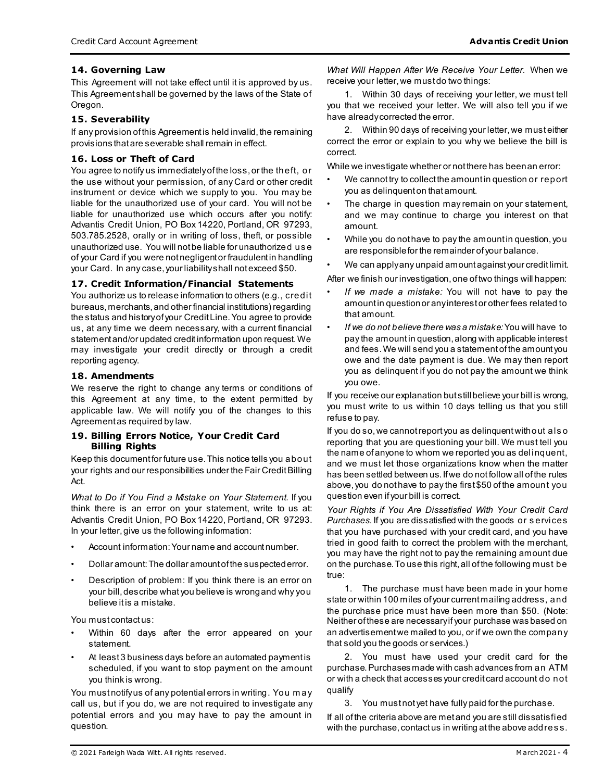# **14. Governing Law**

This Agreement will not take effect until it is approved by us. This Agreement shall be governed by the laws of the State of Oregon.

## **15. Severability**

If any provision of this Agreement is held invalid, the remaining provisions that are severable shall remain in effect.

## **16. Loss or Theft of Card**

You agree to notify us immediately of the loss, or the theft, or the use without your permission, of any Card or other credit instrument or device which we supply to you. You may be liable for the unauthorized use of your card. You will not be liable for unauthorized use which occurs after you notify: Advantis Credit Union, PO Box 14220, Portland, OR 97293, 503.785.2528, orally or in writing of loss, theft, or possible unauthorized use. You will not be liable for unauthorized us e of your Card if you were not negligent or fraudulent in handling your Card. In any case, your liability shall not exceed \$50.

#### **17. Credit Information/Financial Statements**

You authorize us to release information to others (e.g., credit bureaus, merchants, and other financial institutions) regarding the status and history of your Credit Line. You agree to provide us, at any time we deem necessary, with a current financial statement and/or updated credit information upon request. We may investigate your credit directly or through a credit reporting agency.

## **18. Amendments**

We reserve the right to change any terms or conditions of this Agreement at any time, to the extent permitted by applicable law. We will notify you of the changes to this Agreement as required by law.

#### **19. Billing Errors Notice, Your Credit Card Billing Rights**

Keep this document for future use. This notice tells you about your rights and our responsibilities under the Fair Credit Billing Act.

*What to Do if You Find a Mistake on Your Statement.* If you think there is an error on your statement, write to us at: Advantis Credit Union, PO Box 14220, Portland, OR 97293. In your letter, give us the following information:

- Account information: Your name and account number.
- Dollar amount: The dollar amount of the suspected error.
- Description of problem: If you think there is an error on your bill, describe what you believe is wrong and why you believe it is a mistake.

You must contactus:

- Within 60 days after the error appeared on your statement.
- At least 3 business days before an automated payment is scheduled, if you want to stop payment on the amount you think is wrong.

You must notify us of any potential errors in writing. You may call us, but if you do, we are not required to investigate any potential errors and you may have to pay the amount in question.

*What Will Happen After We Receive Your Letter.* When we receive your letter, we must do two things:

1. Within 30 days of receiving your letter, we must tell you that we received your letter. We will also tell you if we have already corrected the error.

2. Within 90 days of receiving your letter, we must either correct the error or explain to you why we believe the bill is correct.

While we investigate whether or not there has been an error:

- We cannot try to collect the amount in question or report you as delinquent on that amount.
- The charge in question may remain on your statement, and we may continue to charge you interest on that amount.
- While you do not have to pay the amount in question, you are responsible for the remainder of your balance.
- We can apply any unpaid amount against your credit limit.

After we finish our investigation, one of two things will happen:

- *If we made a mistake:* You will not have to pay the amount in question or any interest or other fees related to that amount.
- *If we do not believe there was a mistake:*You will have to pay the amount in question, along with applicable interest and fees. We will send you a statement of the amount you owe and the date payment is due. We may then report you as delinquent if you do not pay the amount we think you owe.

If you receive our explanation but still believe your bill is wrong, you must write to us within 10 days telling us that you still refuse to pay.

If you do so, we cannot report you as delinquent without als o reporting that you are questioning your bill. We must tell you the name of anyone to whom we reported you as delinquent, and we must let those organizations know when the matter has been settled between us. If we do not follow all of the rules above, you do not have to pay the first \$50 of the amount you question even if your bill is correct.

*Your Rights if You Are Dissatisfied With Your Credit Card Purchases.*If you are dissatisfied with the goods or s ervices that you have purchased with your credit card, and you have tried in good faith to correct the problem with the merchant, you may have the right not to pay the remaining amount due on the purchase. To use this right, all of the following must be true:

1. The purchase must have been made in your home state or within 100 miles of your current mailing address, and the purchase price must have been more than \$50. (Note: Neither of these are necessary if your purchase was based on an advertisement we mailed to you, or if we own the company that sold you the goods or services.)

2. You must have used your credit card for the purchase. Purchases made with cash advances from an ATM or with a check that accesses your credit card account do not qualify

3. You must not yet have fully paid for the purchase.

If all of the criteria above are met and you are still dissatisfied with the purchase, contact us in writing at the above addres s.

© 2021 Farleigh Wada Witt. All rights reserved. M arch 2021 - 4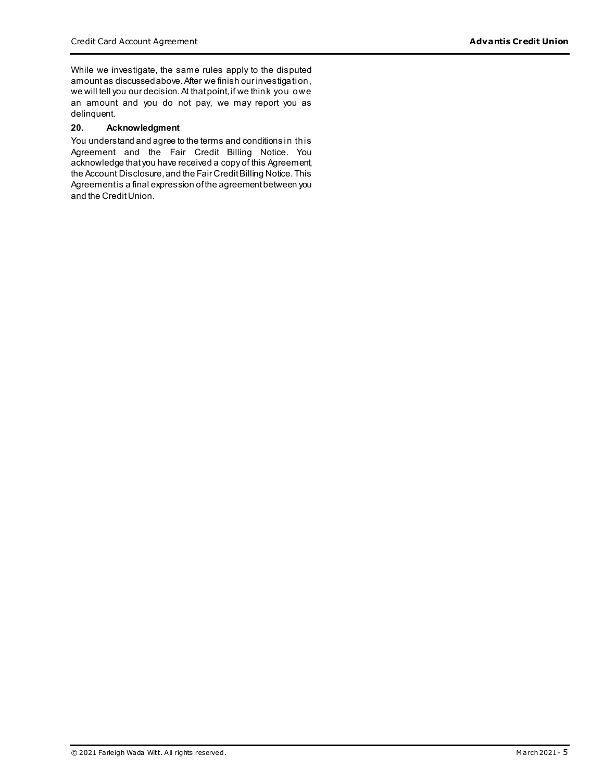While we investigate, the same rules apply to the disputed amount as discussed above. After we finish our investigation, we will tell you our decision. At that point, if we think you owe an amount and you do not pay, we may report you as delinquent.

#### **20. Acknowledgment**

You understand and agree to the terms and conditions in this Agreement and the Fair Credit Billing Notice. You acknowledge that you have received a copy of this Agreement, the Account Disclosure, and the Fair Credit Billing Notice. This Agreement is a final expression of the agreement between you and the CreditUnion.